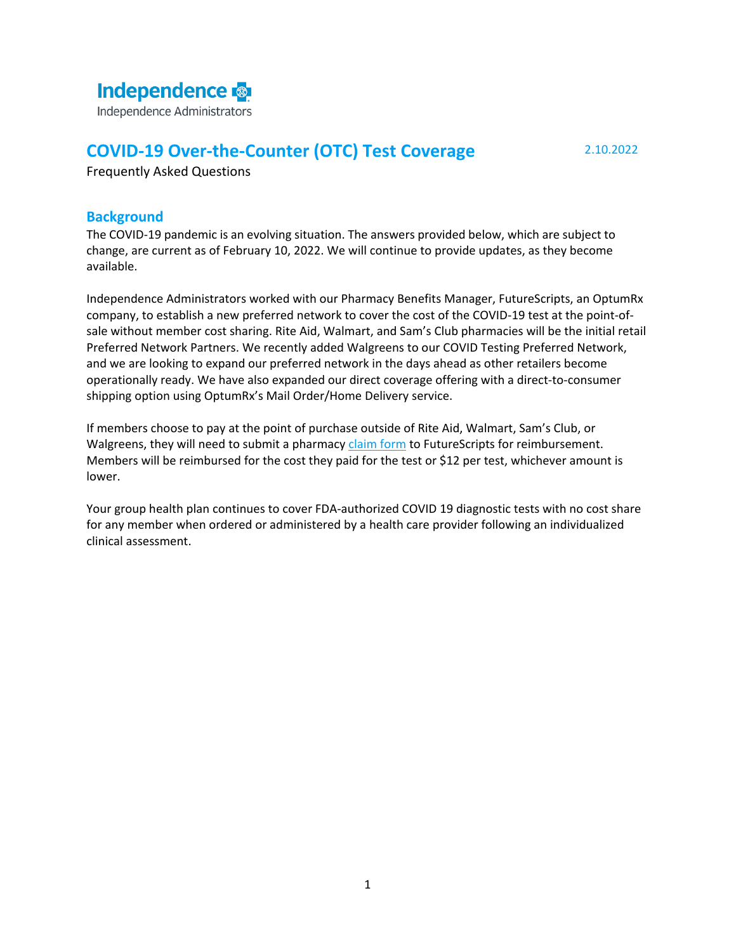# **Independence**

Independence Administrators

# **COVID-19 Over-the-Counter (OTC) Test Coverage** 2.10.2022

Frequently Asked Questions

# **Background**

The COVID-19 pandemic is an evolving situation. The answers provided below, which are subject to change, are current as of February 10, 2022. We will continue to provide updates, as they become available.

Independence Administrators worked with our Pharmacy Benefits Manager, FutureScripts, an OptumRx company, to establish a new preferred network to cover the cost of the COVID-19 test at the point-ofsale without member cost sharing. Rite Aid, Walmart, and Sam's Club pharmacies will be the initial retail Preferred Network Partners. We recently added Walgreens to our COVID Testing Preferred Network, and we are looking to expand our preferred network in the days ahead as other retailers become operationally ready. We have also expanded our direct coverage offering with a direct-to-consumer shipping option using OptumRx's Mail Order/Home Delivery service.

If members choose to pay at the point of purchase outside of Rite Aid, Walmart, Sam's Club, or Walgreens, they will need to submit a pharmacy [claim form](https://covidtest.optumrx.com/covid-test-reimbursement) to FutureScripts for reimbursement. Members will be reimbursed for the cost they paid for the test or \$12 per test, whichever amount is lower.

Your group health plan continues to cover FDA-authorized COVID 19 diagnostic tests with no cost share for any member when ordered or administered by a health care provider following an individualized clinical assessment.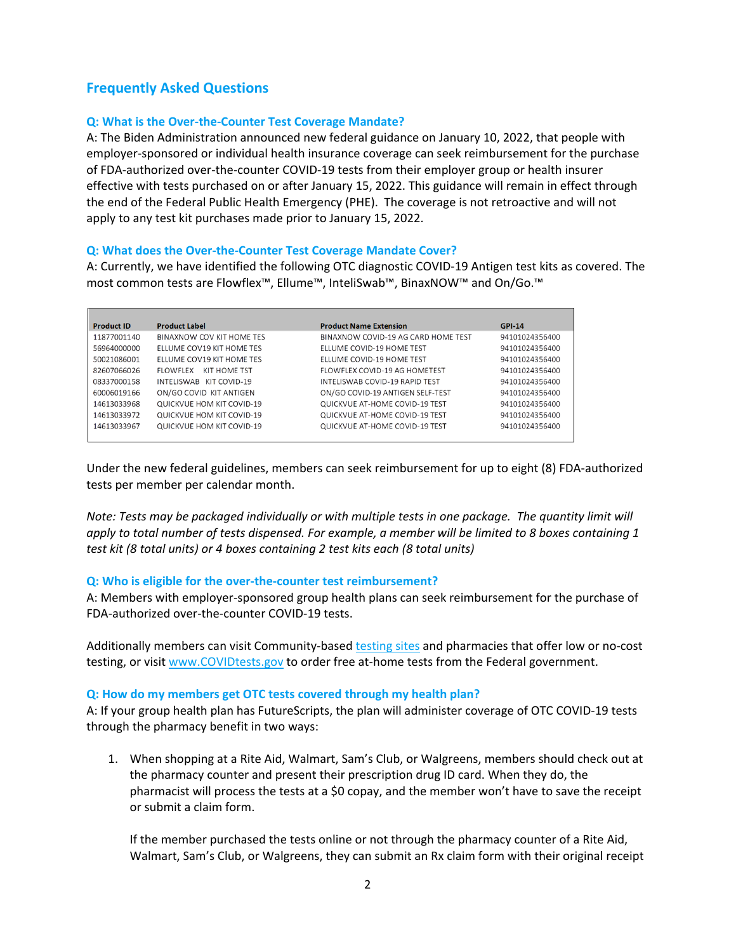# **Frequently Asked Questions**

## **Q: What is the Over-the-Counter Test Coverage Mandate?**

A: The Biden Administration announced new federal guidance on January 10, 2022, that people with employer-sponsored or individual health insurance coverage can seek reimbursement for the purchase of FDA-authorized over-the-counter COVID-19 tests from their employer group or health insurer effective with tests purchased on or after January 15, 2022. This guidance will remain in effect through the end of the Federal Public Health Emergency (PHE). The coverage is not retroactive and will not apply to any test kit purchases made prior to January 15, 2022.

### **Q: What does the Over-the-Counter Test Coverage Mandate Cover?**

A: Currently, we have identified the following OTC diagnostic COVID-19 Antigen test kits as covered. The most common tests are Flowflex™, Ellume™, InteliSwab™, BinaxNOW™ and On/Go.™

| <b>Product ID</b> | <b>Product Label</b>            | <b>Product Name Extension</b>       | <b>GPI-14</b>  |
|-------------------|---------------------------------|-------------------------------------|----------------|
| 11877001140       | BINAXNOW COV KIT HOME TES       | BINAXNOW COVID-19 AG CARD HOME TEST | 94101024356400 |
| 56964000000       | ELLUME COV19 KIT HOME TES       | ELLUME COVID-19 HOME TEST           | 94101024356400 |
| 50021086001       | ELLUME COV19 KIT HOME TES       | <b>ELLUME COVID-19 HOME TEST</b>    | 94101024356400 |
| 82607066026       | KIT HOME TST<br><b>FLOWFLEX</b> | FLOWFLEX COVID-19 AG HOMETEST       | 94101024356400 |
| 08337000158       | INTELISWAB KIT COVID-19         | INTELISWAB COVID-19 RAPID TEST      | 94101024356400 |
| 60006019166       | ON/GO COVID KIT ANTIGEN         | ON/GO COVID-19 ANTIGEN SELF-TEST    | 94101024356400 |
| 14613033968       | QUICKVUE HOM KIT COVID-19       | QUICKVUE AT-HOME COVID-19 TEST      | 94101024356400 |
| 14613033972       | QUICKVUE HOM KIT COVID-19       | QUICKVUE AT-HOME COVID-19 TEST      | 94101024356400 |
| 14613033967       | QUICKVUE HOM KIT COVID-19       | QUICKVUE AT-HOME COVID-19 TEST      | 94101024356400 |
|                   |                                 |                                     |                |

Under the new federal guidelines, members can seek reimbursement for up to eight (8) FDA-authorized tests per member per calendar month.

*Note: Tests may be packaged individually or with multiple tests in one package. The quantity limit will apply to total number of tests dispensed. For example, a member will be limited to 8 boxes containing 1 test kit (8 total units) or 4 boxes containing 2 test kits each (8 total units)*

#### **Q: Who is eligible for the over-the-counter test reimbursement?**

A: Members with employer-sponsored group health plans can seek reimbursement for the purchase of FDA-authorized over-the-counter COVID-19 tests.

Additionally members can visit Community-based [testing sites](https://www.hhs.gov/coronavirus/community-based-testing-sites/index.html) and pharmacies that offer low or no-cost testing, or visit [www.COVIDtests.gov](http://www.covidtests.gov/) to order free at-home tests from the Federal government.

#### **Q: How do my members get OTC tests covered through my health plan?**

A: If your group health plan has FutureScripts, the plan will administer coverage of OTC COVID-19 tests through the pharmacy benefit in two ways:

1. When shopping at a Rite Aid, Walmart, Sam's Club, or Walgreens, members should check out at the pharmacy counter and present their prescription drug ID card. When they do, the pharmacist will process the tests at a \$0 copay, and the member won't have to save the receipt or submit a claim form.

If the member purchased the tests online or not through the pharmacy counter of a Rite Aid, Walmart, Sam's Club, or Walgreens, they can submit an Rx claim form with their original receipt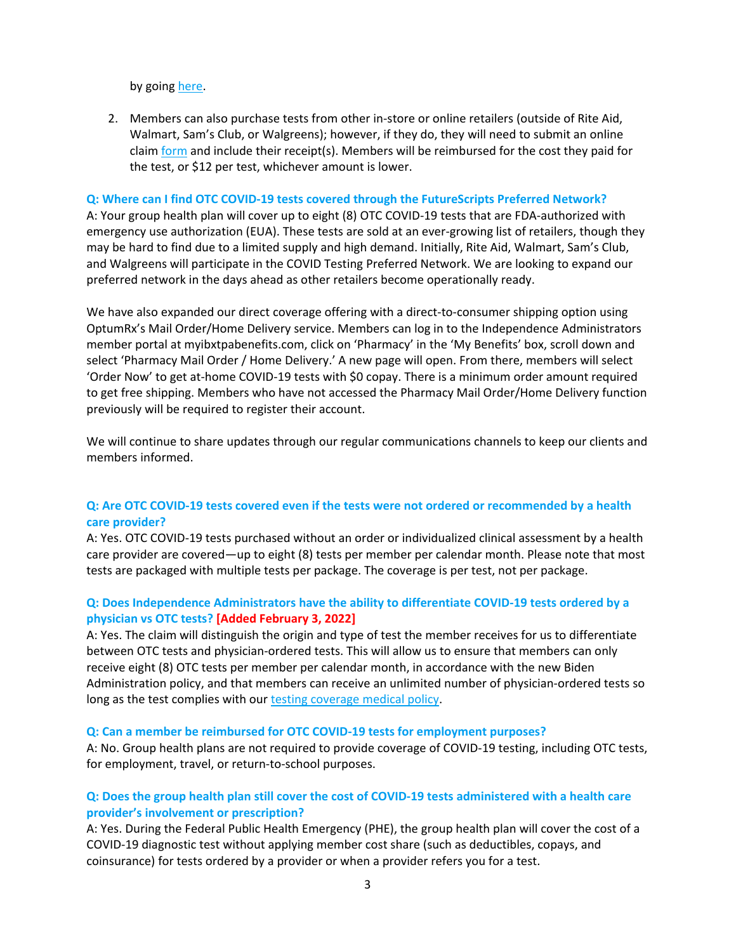by going [here.](https://covidtest.optumrx.com/covid-test-reimbursement)

2. Members can also purchase tests from other in-store or online retailers (outside of Rite Aid, Walmart, Sam's Club, or Walgreens); however, if they do, they will need to submit an online claim [form](https://covidtest.optumrx.com/covid-test-reimbursement) and include their receipt(s). Members will be reimbursed for the cost they paid for the test, or \$12 per test, whichever amount is lower.

#### **Q: Where can I find OTC COVID-19 tests covered through the FutureScripts Preferred Network?**

A: Your group health plan will cover up to eight (8) OTC COVID-19 tests that are FDA-authorized with emergency use authorization (EUA). These tests are sold at an ever-growing list of retailers, though they may be hard to find due to a limited supply and high demand. Initially, Rite Aid, Walmart, Sam's Club, and Walgreens will participate in the COVID Testing Preferred Network. We are looking to expand our preferred network in the days ahead as other retailers become operationally ready.

We have also expanded our direct coverage offering with a direct-to-consumer shipping option using OptumRx's Mail Order/Home Delivery service. Members can log in to the Independence Administrators member portal at myibxtpabenefits.com, click on 'Pharmacy' in the 'My Benefits' box, scroll down and select 'Pharmacy Mail Order / Home Delivery.' A new page will open. From there, members will select 'Order Now' to get at-home COVID-19 tests with \$0 copay. There is a minimum order amount required to get free shipping. Members who have not accessed the Pharmacy Mail Order/Home Delivery function previously will be required to register their account.

We will continue to share updates through our regular communications channels to keep our clients and members informed.

# **Q: Are OTC COVID-19 tests covered even if the tests were not ordered or recommended by a health care provider?**

A: Yes. OTC COVID-19 tests purchased without an order or individualized clinical assessment by a health care provider are covered—up to eight (8) tests per member per calendar month. Please note that most tests are packaged with multiple tests per package. The coverage is per test, not per package.

# **Q: Does Independence Administrators have the ability to differentiate COVID-19 tests ordered by a physician vs OTC tests? [Added February 3, 2022]**

A: Yes. The claim will distinguish the origin and type of test the member receives for us to differentiate between OTC tests and physician-ordered tests. This will allow us to ensure that members can only receive eight (8) OTC tests per member per calendar month, in accordance with the new Biden Administration policy, and that members can receive an unlimited number of physician-ordered tests so long as the test complies with our [testing coverage medical policy.](https://medpolicy.ibx.com/ibc/Commercial/Pages/NewsArticles/e608b28d-f17e-4672-a1d3-39e5eed12c77.aspx)

#### **Q: Can a member be reimbursed for OTC COVID-19 tests for employment purposes?**

A: No. Group health plans are not required to provide coverage of COVID-19 testing, including OTC tests, for employment, travel, or return-to-school purposes.

# **Q: Does the group health plan still cover the cost of COVID-19 tests administered with a health care provider's involvement or prescription?**

A: Yes. During the Federal Public Health Emergency (PHE), the group health plan will cover the cost of a COVID-19 diagnostic test without applying member cost share (such as deductibles, copays, and coinsurance) for tests ordered by a provider or when a provider refers you for a test.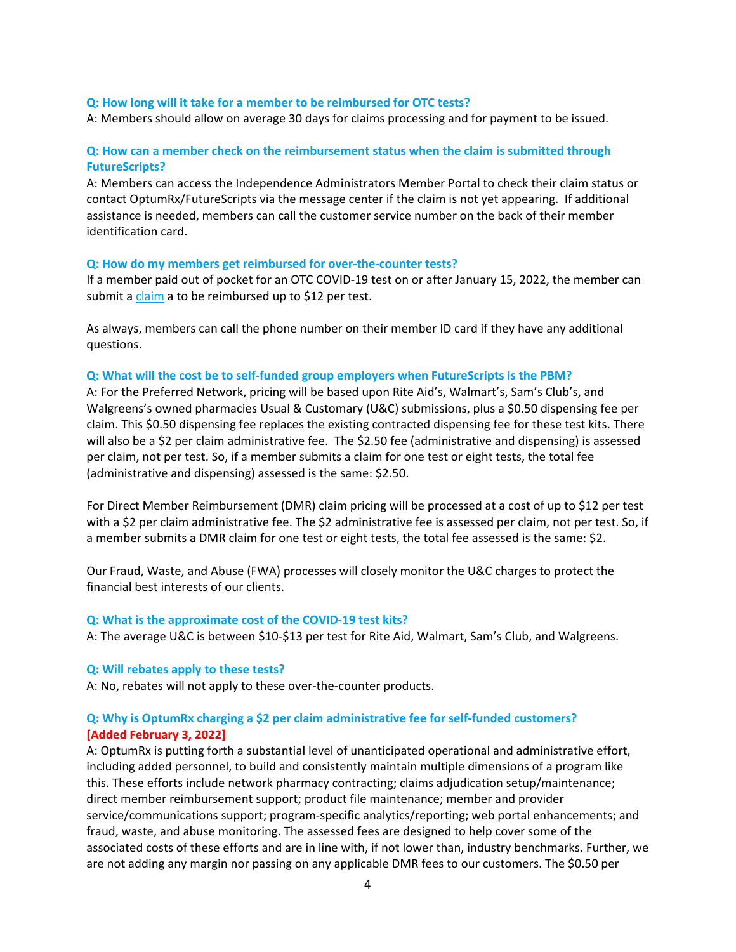#### **Q: How long will it take for a member to be reimbursed for OTC tests?**

A: Members should allow on average 30 days for claims processing and for payment to be issued.

# **Q: How can a member check on the reimbursement status when the claim is submitted through FutureScripts?**

A: Members can access the Independence Administrators Member Portal to check their claim status or contact OptumRx/FutureScripts via the message center if the claim is not yet appearing. If additional assistance is needed, members can call the customer service number on the back of their member identification card.

#### **Q: How do my members get reimbursed for over-the-counter tests?**

If a member paid out of pocket for an OTC COVID-19 test on or after January 15, 2022, the member can submit a [claim](https://covidtest.optumrx.com/covid-test-reimbursement) a to be reimbursed up to \$12 per test.

As always, members can call the phone number on their member ID card if they have any additional questions.

#### **Q: What will the cost be to self-funded group employers when FutureScripts is the PBM?**

A: For the Preferred Network, pricing will be based upon Rite Aid's, Walmart's, Sam's Club's, and Walgreens's owned pharmacies Usual & Customary (U&C) submissions, plus a \$0.50 dispensing fee per claim. This \$0.50 dispensing fee replaces the existing contracted dispensing fee for these test kits. There will also be a \$2 per claim administrative fee. The \$2.50 fee (administrative and dispensing) is assessed per claim, not per test. So, if a member submits a claim for one test or eight tests, the total fee (administrative and dispensing) assessed is the same: \$2.50.

For Direct Member Reimbursement (DMR) claim pricing will be processed at a cost of up to \$12 per test with a \$2 per claim administrative fee. The \$2 administrative fee is assessed per claim, not per test. So, if a member submits a DMR claim for one test or eight tests, the total fee assessed is the same: \$2.

Our Fraud, Waste, and Abuse (FWA) processes will closely monitor the U&C charges to protect the financial best interests of our clients.

#### **Q: What is the approximate cost of the COVID-19 test kits?**

A: The average U&C is between \$10-\$13 per test for Rite Aid, Walmart, Sam's Club, and Walgreens.

#### **Q: Will rebates apply to these tests?**

A: No, rebates will not apply to these over-the-counter products.

### **Q: Why is OptumRx charging a \$2 per claim administrative fee for self-funded customers? [Added February 3, 2022]**

A: OptumRx is putting forth a substantial level of unanticipated operational and administrative effort, including added personnel, to build and consistently maintain multiple dimensions of a program like this. These efforts include network pharmacy contracting; claims adjudication setup/maintenance; direct member reimbursement support; product file maintenance; member and provider service/communications support; program-specific analytics/reporting; web portal enhancements; and fraud, waste, and abuse monitoring. The assessed fees are designed to help cover some of the associated costs of these efforts and are in line with, if not lower than, industry benchmarks. Further, we are not adding any margin nor passing on any applicable DMR fees to our customers. The \$0.50 per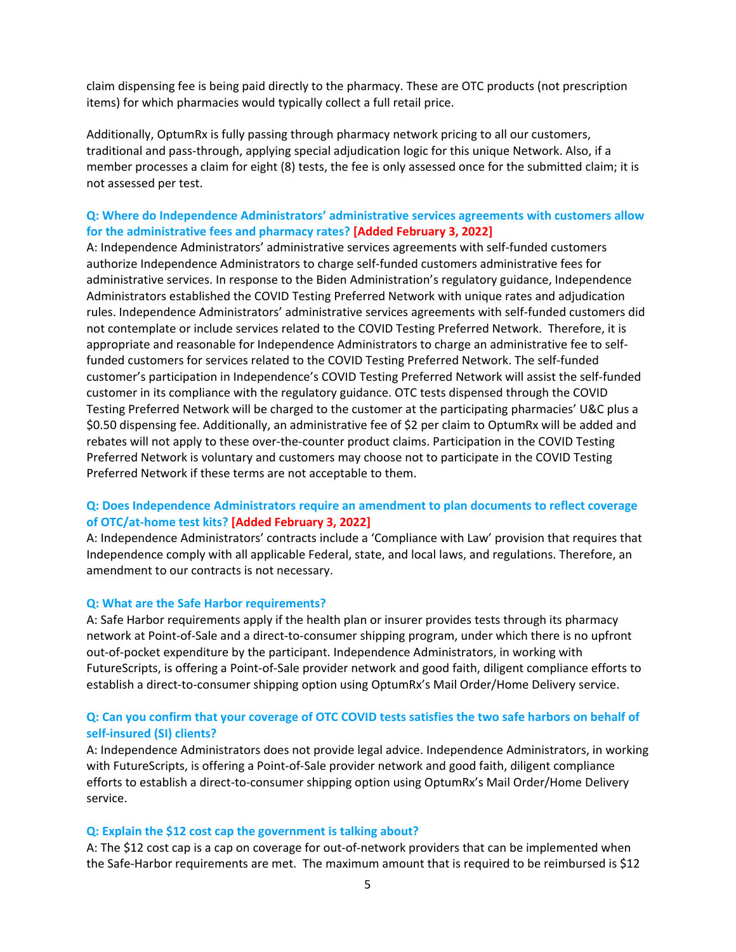claim dispensing fee is being paid directly to the pharmacy. These are OTC products (not prescription items) for which pharmacies would typically collect a full retail price.

Additionally, OptumRx is fully passing through pharmacy network pricing to all our customers, traditional and pass-through, applying special adjudication logic for this unique Network. Also, if a member processes a claim for eight (8) tests, the fee is only assessed once for the submitted claim; it is not assessed per test.

# **Q: Where do Independence Administrators' administrative services agreements with customers allow for the administrative fees and pharmacy rates? [Added February 3, 2022]**

A: Independence Administrators' administrative services agreements with self-funded customers authorize Independence Administrators to charge self-funded customers administrative fees for administrative services. In response to the Biden Administration's regulatory guidance, Independence Administrators established the COVID Testing Preferred Network with unique rates and adjudication rules. Independence Administrators' administrative services agreements with self-funded customers did not contemplate or include services related to the COVID Testing Preferred Network. Therefore, it is appropriate and reasonable for Independence Administrators to charge an administrative fee to selffunded customers for services related to the COVID Testing Preferred Network. The self-funded customer's participation in Independence's COVID Testing Preferred Network will assist the self-funded customer in its compliance with the regulatory guidance. OTC tests dispensed through the COVID Testing Preferred Network will be charged to the customer at the participating pharmacies' U&C plus a \$0.50 dispensing fee. Additionally, an administrative fee of \$2 per claim to OptumRx will be added and rebates will not apply to these over-the-counter product claims. Participation in the COVID Testing Preferred Network is voluntary and customers may choose not to participate in the COVID Testing Preferred Network if these terms are not acceptable to them.

# **Q: Does Independence Administrators require an amendment to plan documents to reflect coverage of OTC/at-home test kits? [Added February 3, 2022]**

A: Independence Administrators' contracts include a 'Compliance with Law' provision that requires that Independence comply with all applicable Federal, state, and local laws, and regulations. Therefore, an amendment to our contracts is not necessary.

#### **Q: What are the Safe Harbor requirements?**

A: Safe Harbor requirements apply if the health plan or insurer provides tests through its pharmacy network at Point-of-Sale and a direct-to-consumer shipping program, under which there is no upfront out-of-pocket expenditure by the participant. Independence Administrators, in working with FutureScripts, is offering a Point-of-Sale provider network and good faith, diligent compliance efforts to establish a direct-to-consumer shipping option using OptumRx's Mail Order/Home Delivery service.

# **Q: Can you confirm that your coverage of OTC COVID tests satisfies the two safe harbors on behalf of self-insured (SI) clients?**

A: Independence Administrators does not provide legal advice. Independence Administrators, in working with FutureScripts, is offering a Point-of-Sale provider network and good faith, diligent compliance efforts to establish a direct-to-consumer shipping option using OptumRx's Mail Order/Home Delivery service.

#### **Q: Explain the \$12 cost cap the government is talking about?**

A: The \$12 cost cap is a cap on coverage for out-of-network providers that can be implemented when the Safe-Harbor requirements are met. The maximum amount that is required to be reimbursed is \$12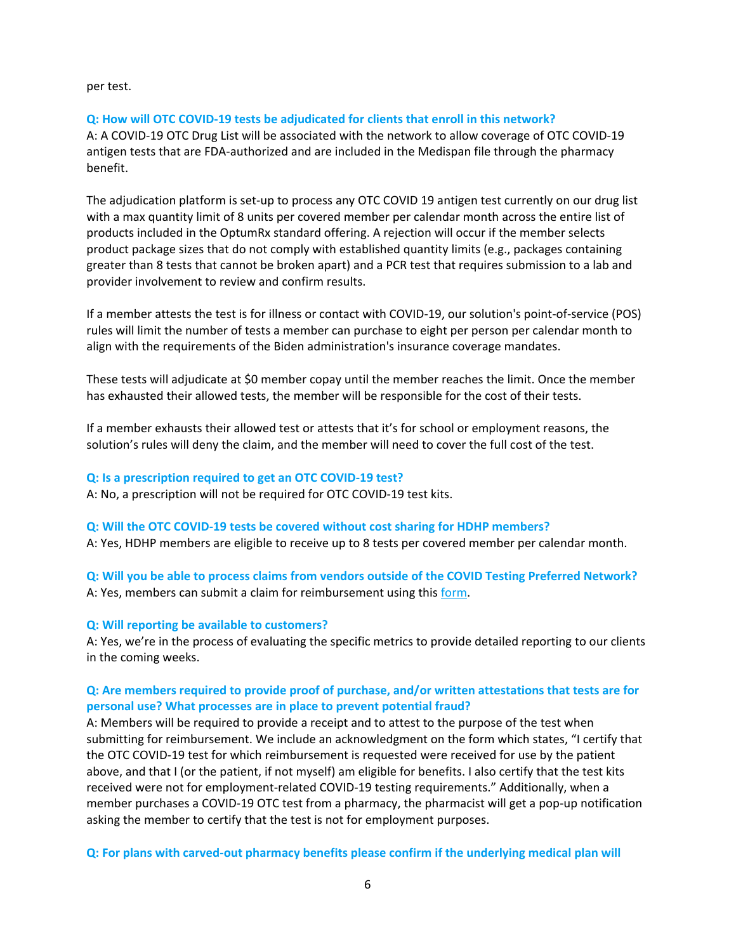per test.

# **Q: How will OTC COVID-19 tests be adjudicated for clients that enroll in this network?**

A: A COVID-19 OTC Drug List will be associated with the network to allow coverage of OTC COVID-19 antigen tests that are FDA-authorized and are included in the Medispan file through the pharmacy benefit.

The adjudication platform is set-up to process any OTC COVID 19 antigen test currently on our drug list with a max quantity limit of 8 units per covered member per calendar month across the entire list of products included in the OptumRx standard offering. A rejection will occur if the member selects product package sizes that do not comply with established quantity limits (e.g., packages containing greater than 8 tests that cannot be broken apart) and a PCR test that requires submission to a lab and provider involvement to review and confirm results.

If a member attests the test is for illness or contact with COVID-19, our solution's point-of-service (POS) rules will limit the number of tests a member can purchase to eight per person per calendar month to align with the requirements of the Biden administration's insurance coverage mandates.

These tests will adjudicate at \$0 member copay until the member reaches the limit. Once the member has exhausted their allowed tests, the member will be responsible for the cost of their tests.

If a member exhausts their allowed test or attests that it's for school or employment reasons, the solution's rules will deny the claim, and the member will need to cover the full cost of the test.

## **Q: Is a prescription required to get an OTC COVID-19 test?**

A: No, a prescription will not be required for OTC COVID-19 test kits.

#### **Q: Will the OTC COVID-19 tests be covered without cost sharing for HDHP members?**

A: Yes, HDHP members are eligible to receive up to 8 tests per covered member per calendar month.

**Q: Will you be able to process claims from vendors outside of the COVID Testing Preferred Network?** A: Yes, members can submit a claim for reimbursement using this [form.](https://covidtest.optumrx.com/covid-test-reimbursement)

# **Q: Will reporting be available to customers?**

A: Yes, we're in the process of evaluating the specific metrics to provide detailed reporting to our clients in the coming weeks.

# **Q: Are members required to provide proof of purchase, and/or written attestations that tests are for personal use? What processes are in place to prevent potential fraud?**

A: Members will be required to provide a receipt and to attest to the purpose of the test when submitting for reimbursement. We include an acknowledgment on the form which states, "I certify that the OTC COVID-19 test for which reimbursement is requested were received for use by the patient above, and that I (or the patient, if not myself) am eligible for benefits. I also certify that the test kits received were not for employment-related COVID-19 testing requirements." Additionally, when a member purchases a COVID-19 OTC test from a pharmacy, the pharmacist will get a pop-up notification asking the member to certify that the test is not for employment purposes.

**Q: For plans with carved-out pharmacy benefits please confirm if the underlying medical plan will**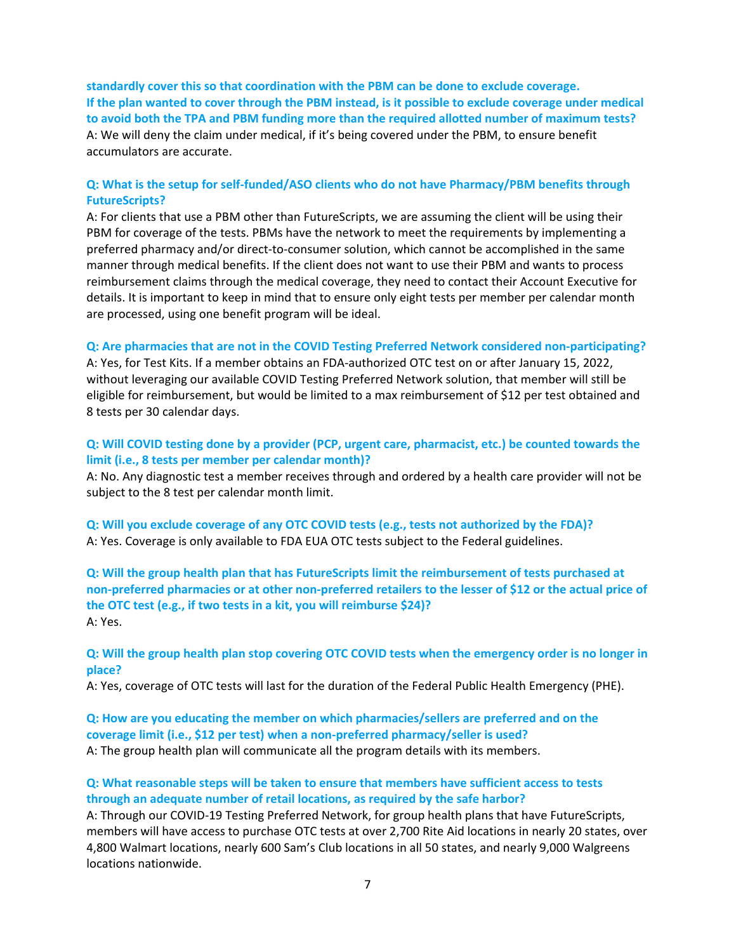**standardly cover this so that coordination with the PBM can be done to exclude coverage. If the plan wanted to cover through the PBM instead, is it possible to exclude coverage under medical to avoid both the TPA and PBM funding more than the required allotted number of maximum tests?** A: We will deny the claim under medical, if it's being covered under the PBM, to ensure benefit accumulators are accurate.

# **Q: What is the setup for self-funded/ASO clients who do not have Pharmacy/PBM benefits through FutureScripts?**

A: For clients that use a PBM other than FutureScripts, we are assuming the client will be using their PBM for coverage of the tests. PBMs have the network to meet the requirements by implementing a preferred pharmacy and/or direct-to-consumer solution, which cannot be accomplished in the same manner through medical benefits. If the client does not want to use their PBM and wants to process reimbursement claims through the medical coverage, they need to contact their Account Executive for details. It is important to keep in mind that to ensure only eight tests per member per calendar month are processed, using one benefit program will be ideal.

## **Q: Are pharmacies that are not in the COVID Testing Preferred Network considered non-participating?**

A: Yes, for Test Kits. If a member obtains an FDA-authorized OTC test on or after January 15, 2022, without leveraging our available COVID Testing Preferred Network solution, that member will still be eligible for reimbursement, but would be limited to a max reimbursement of \$12 per test obtained and 8 tests per 30 calendar days.

# **Q: Will COVID testing done by a provider (PCP, urgent care, pharmacist, etc.) be counted towards the limit (i.e., 8 tests per member per calendar month)?**

A: No. Any diagnostic test a member receives through and ordered by a health care provider will not be subject to the 8 test per calendar month limit.

**Q: Will you exclude coverage of any OTC COVID tests (e.g., tests not authorized by the FDA)?** A: Yes. Coverage is only available to FDA EUA OTC tests subject to the Federal guidelines.

**Q: Will the group health plan that has FutureScripts limit the reimbursement of tests purchased at non-preferred pharmacies or at other non-preferred retailers to the lesser of \$12 or the actual price of the OTC test (e.g., if two tests in a kit, you will reimburse \$24)?** A: Yes.

### **Q: Will the group health plan stop covering OTC COVID tests when the emergency order is no longer in place?**

A: Yes, coverage of OTC tests will last for the duration of the Federal Public Health Emergency (PHE).

# **Q: How are you educating the member on which pharmacies/sellers are preferred and on the coverage limit (i.e., \$12 per test) when a non-preferred pharmacy/seller is used?**

A: The group health plan will communicate all the program details with its members.

# **Q: What reasonable steps will be taken to ensure that members have sufficient access to tests through an adequate number of retail locations, as required by the safe harbor?**

A: Through our COVID-19 Testing Preferred Network, for group health plans that have FutureScripts, members will have access to purchase OTC tests at over 2,700 Rite Aid locations in nearly 20 states, over 4,800 Walmart locations, nearly 600 Sam's Club locations in all 50 states, and nearly 9,000 Walgreens locations nationwide.